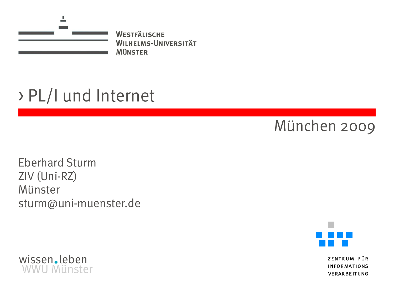

### > PL/I und Internet

München 2009

Eberhard Sturm ZIV (Uni-RZ) Münster sturm@uni-muenster.de





ZENTRUM FÜR **INFORMATIONS** VERARBEITUNG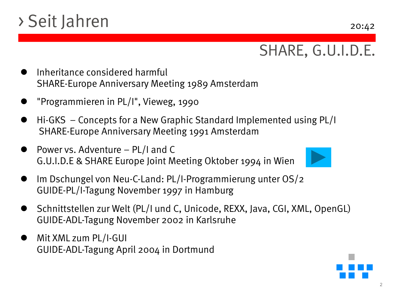## > Seit Jahren

### SHARE, G.U.I.D.E.

- Inheritance considered harmful SHARE-Europe Anniversary Meeting 1989 Amsterdam
- "Programmieren in PL/I", Vieweg, 1990
- Hi-GKS Concepts for a New Graphic Standard Implemented using PL/I SHARE-Europe Anniversary Meeting 1991 Amsterdam
- Power vs. Adventure PL/I and C G.U.I.D.E & SHARE Europe Joint Meeting Oktober 1994 in Wien



- Im Dschungel von Neu-C-Land: PL/I-Programmierung unter OS/2 GUIDE-PL/I-Tagung November 1997 in Hamburg
- Schnittstellen zur Welt (PL/I und C, Unicode, REXX, Java, CGI, XML, OpenGL) GUIDE-ADL-Tagung November 2002 in Karlsruhe
- Mit XML zum PL/I-GUI GUIDE-ADL-Tagung April 2004 in Dortmund

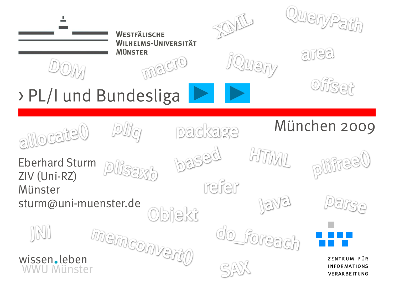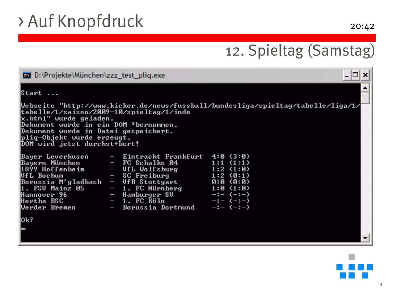### 12. Spieltag (Samstag)

| D:\Projekte\München\zzz test pliq.exe                                                                                                                                                                                                                                                                              |                                                                                                                                                                                                                                             |                                                  |  |  |
|--------------------------------------------------------------------------------------------------------------------------------------------------------------------------------------------------------------------------------------------------------------------------------------------------------------------|---------------------------------------------------------------------------------------------------------------------------------------------------------------------------------------------------------------------------------------------|--------------------------------------------------|--|--|
| Start                                                                                                                                                                                                                                                                                                              |                                                                                                                                                                                                                                             |                                                  |  |  |
| Webseite "http://www.kicker.de/news/fussball/bundesliga/spieltag/tabelle/liga/1/<br>tabelle/1/saison/2009-10/spieltag/1/inde<br>x.html" wurde geladen.<br>Dokument wurde in ein DOM <sup>3</sup> bernommen.<br>Dokument wurde in Datei gespeichert.<br> pliq-Objekt wurde erzeugt.<br>DOM wird jetzt durchst÷bert! |                                                                                                                                                                                                                                             |                                                  |  |  |
| Bayer Leverkusen<br>Bayern München<br>1899 Hoffenheim<br>WfL Bochum<br>Borussia M'gladbach - UfB Stuttgart<br>Hannover 96<br>Hertha BSC <b>Andrew Members</b><br>Werder Bremen<br>l0k?                                                                                                                             | - Eintracht Frankfurt 4:0 (3:0)<br>- FC Schalke 04 $1:1 \leq 1:1$<br>- UfL Wolfsburg<br>$-$ SC Freiburg<br>1. FSU Mainz 05 - 1. FC Nürnberg<br>$-1.$ FC $\overline{1}$ FC $\overline{1}$ FC $\overline{1}$<br>- Borussia Dortmund -:- (-:-) | 1:2(1:0)<br>$1:2$ (0:1)<br>0:0 (0:0)<br>1:0(1:0) |  |  |

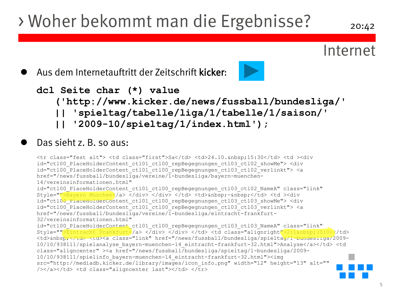### > Woher bekommt man die Ergebnisse?



Aus dem Internetauftritt der Zeitschrift kicker:

#### **dcl Seite char (\*) value**

- **('http://www.kicker.de/news/fussball/bundesliga/'**
- **|| 'spieltag/tabelle/liga/1/tabelle/1/saison/'**
- **|| '2009-10/spieltag/1/index.html');**

### Das sieht z. B. so aus:

<tr class="fest alt"> <td class="first">Sa</td> <td>24.10.&nbsp;15:30</td> <td ><div id="ctl00\_PlaceHolderContent\_ctl01\_ctl00\_repBegegnungen\_ctl03\_ctl02\_showMe"> <div id="ctl00\_PlaceHolderContent\_ctl01\_ctl00\_repBegegnungen\_ctl03\_ctl02\_verlinkt"> <a href="/news/fussball/bundesliga/vereine/1-bundesliga/bayern-muenchen-14/vereinsinformationen.html"

id="ctl00\_PlaceHolderContent\_ctl01\_ctl00\_repBegegnungen\_ctl03\_ctl02\_NameA" class="link"  $\frac{1}{\sqrt{2}}$  Style="">Bayern München</a> </div> </div> </td> <td>><td>&nbsp;-&nbsp;</td> <td ><div id="ctl00\_PlaceHolderContent\_ctl01\_ctl00\_repBegegnungen\_ctl03\_ctl03\_showMe"> <div id="ctl00\_PlaceHolderContent\_ctl01\_ctl00\_repBegegnungen\_ctl03\_ctl03\_verlinkt"> <a href="/news/fussball/bundesliga/vereine/1-bundesliga/eintracht-frankfurt-32/vereinsinformationen.html"

id="ctl00\_PlaceHolderContent\_ctl01\_ctl00\_repBegegnungen\_ctl03\_ctl03\_NameA" class="link"  $\frac{1}{\text{Style}} = \frac{1}{\text{Style}} \cdot \frac{1}{\text{Style}}}$  Frankfurt $\frac{1}{\text{Style}}$  /a>  $\frac{1}{\text{Style}} \cdot \frac{1}{\text{Style}} \cdot \frac{1}{\text{Style}}}$  class="alignright">2:1 $\frac{1}{\text{Shbsp}}$  (0:0) $\frac{1}{\text{Style}}$ <td> bnbsp;</td> <td><a class="link" href="/news/fussball/bundesliga/spieltag/1-bundesliga/2009-10/10/938111/spielanalyse\_bayern-muenchen-14\_eintracht-frankfurt-32.html">Analyse</a></td> <td class="aligncenter" ><a href="/news/fussball/bundesliga/spieltag/1-bundesliga/2009- 10/10/938111/spielinfo\_bayern-muenchen-14\_eintracht-frankfurt-32.html"><img src="http://mediadb.kicker.de/library/images/icon\_info.png" width="12" height="13" alt="" /></a></td> <td class="aligncenter last"></td> </tr>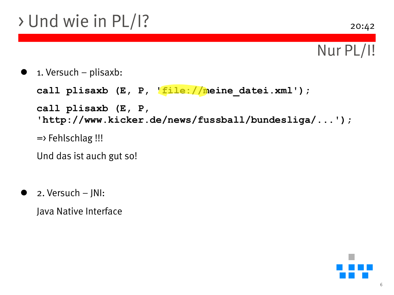## > Und wie in PL/I?

Nur PL/I!

1. Versuch – plisaxb:

```
call plisaxb (E, P, 'file://meine_datei.xml');
call plisaxb (E, P, 
'http://www.kicker.de/news/fussball/bundesliga/...');
=> Fehlschlag !!!
```
Und das ist auch gut so!

2. Versuch – JNI:

Java Native Interface

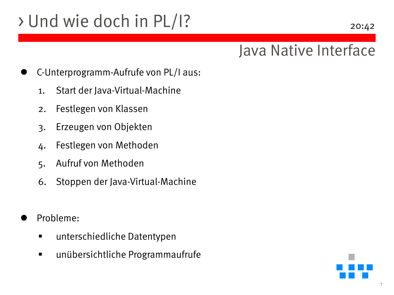# > Und wie doch in PL/I?

#### 20:42

### Java Native Interface

- C-Unterprogramm-Aufrufe von PL/I aus:
	- 1. Start der Java-Virtual-Machine
	- 2. Festlegen von Klassen
	- 3. Erzeugen von Objekten
	- 4. Festlegen von Methoden
	- 5. Aufruf von Methoden
	- 6. Stoppen der Java-Virtual-Machine
- Probleme:
	- unterschiedliche Datentypen
	- unübersichtliche Programmaufrufe

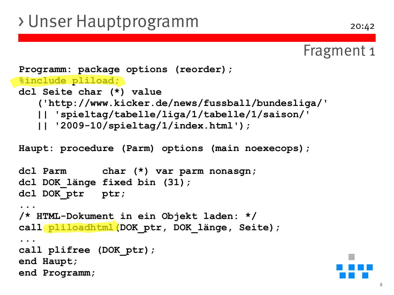### > Unser Hauptprogramm

```
20:42
```

```
Fragment 1
```

```
Programm: package options (reorder);
%include pliload;
dcl Seite char (*) value
   ('http://www.kicker.de/news/fussball/bundesliga/'
   || 'spieltag/tabelle/liga/1/tabelle/1/saison/'
   || '2009-10/spieltag/1/index.html'); 
Haupt: procedure (Parm) options (main noexecops);
dcl Parm char (*) var parm nonasgn;
dcl DOK_länge fixed bin (31);
dcl DOK_ptr ptr;
...
/* HTML-Dokument in ein Objekt laden: */ 
call pliloadhtml(DOK_ptr, DOK_länge, Seite);
...
call plifree (DOK_ptr);
end Haupt;
end Programm;
```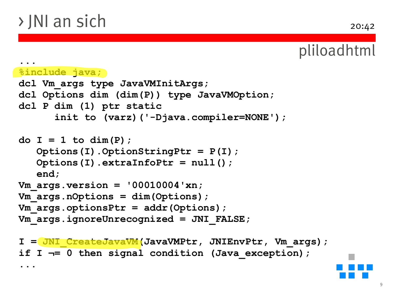### > JNI an sich

```
...
%include java; 
dcl Vm_args type JavaVMInitArgs; 
dcl Options dim (dim(P)) type JavaVMOption; 
dcl P dim (1) ptr static
      init to (varz)('-Djava.compiler=NONE');
do I = 1 to dim(P); 
   Options(I).OptionStringPtr = P(I); 
   Options(I).extraInfoPtr = null(); 
   end; 
Vm_args.version = '00010004'xn; 
Vm_args.nOptions = dim(Options); 
Vm_args.optionsPtr = addr(Options); 
Vm_args.ignoreUnrecognized = JNI_FALSE;
I = JNI CreateJavaVM(JavaVMPtr, JNIEnvPtr, Vm args);
if I ¬= 0 then signal condition (Java_exception);
... 
                                                 pliloadhtml
```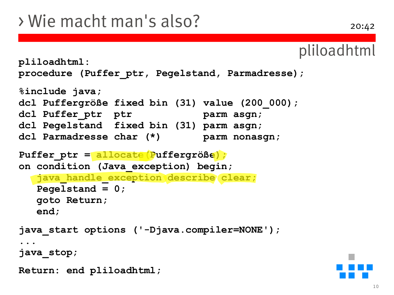```
pliloadhtml:
procedure (Puffer_ptr, Pegelstand, Parmadresse);
%include java;
dcl Puffergröße fixed bin (31) value (200_000);
dcl Puffer_ptr ptr parm asgn;
dcl Pegelstand fixed bin (31) parm asgn;
dcl Parmadresse char (*) parm nonasgn;
Puffer_ptr = allocate(Puffergröße);
on condition (Java_exception) begin;
  java_handle_exception describe clear;
   Pegelstand = 0;
  goto Return;
   end;
java_start options ('-Djava.compiler=NONE');
...
java_stop;
Return: end pliloadhtml;
                                              pliloadhtml
```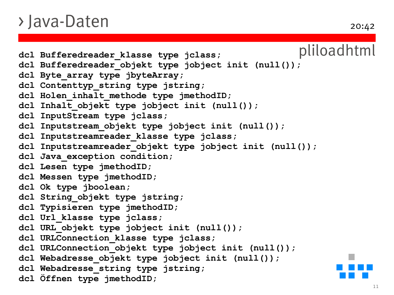### > Java-Daten

20:42

**dcl Bufferedreader\_klasse type jclass; dcl Bufferedreader\_objekt type jobject init (null()); dcl Byte\_array type jbyteArray; dcl Contenttyp\_string type jstring; dcl Holen\_inhalt\_methode type jmethodID; dcl Inhalt\_objekt type jobject init (null()); dcl InputStream type jclass; dcl Inputstream\_objekt type jobject init (null()); dcl Inputstreamreader\_klasse type jclass; dcl Inputstreamreader\_objekt type jobject init (null()); dcl Java\_exception condition; dcl Lesen type jmethodID; dcl Messen type jmethodID; dcl Ok type jboolean; dcl String\_objekt type jstring; dcl Typisieren type jmethodID; dcl Url\_klasse type jclass; dcl URL\_objekt type jobject init (null()); dcl URLConnection\_klasse type jclass; dcl URLConnection\_objekt type jobject init (null()); dcl Webadresse\_objekt type jobject init (null()); dcl Webadresse\_string type jstring; dcl Öffnen type jmethodID;** pliloadhtml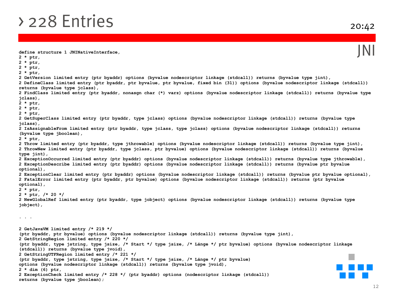### > 228 Entries

**define structure 1 JNINativeInterface, 2 \* ptr, 2 \* ptr, 2 \* ptr, 2 \* ptr, 2 GetVersion limited entry (ptr byaddr) options (byvalue nodescriptor linkage (stdcall)) returns (byvalue type jint), 2 DefineClass limited entry (ptr byaddr, ptr byvalue, ptr byvalue, fixed bin (31)) options (byvalue nodescriptor linkage (stdcall)) returns (byvalue type jclass), 2 FindClass limited entry (ptr byaddr, nonasgn char (\*) varz) options (byvalue nodescriptor linkage (stdcall)) returns (byvalue type jclass), 2 \* ptr, 2 \* ptr, 2 \* ptr, 2 GetSuperClass limited entry (ptr byaddr, type jclass) options (byvalue nodescriptor linkage (stdcall)) returns (byvalue type jclass), 2 IsAssignableFrom limited entry (ptr byaddr, type jclass, type jclass) options (byvalue nodescriptor linkage (stdcall)) returns (byvalue type jboolean), 2 \* ptr, 2 Throw limited entry (ptr byaddr, type jthrowable) options (byvalue nodescriptor linkage (stdcall)) returns (byvalue type jint), 2 ThrowNew limited entry (ptr byaddr, type jclass, ptr byvalue) options (byvalue nodescriptor linkage (stdcall)) returns (byvalue type jint), 2 ExceptionOccurred limited entry (ptr byaddr) options (byvalue nodescriptor linkage (stdcall)) returns (byvalue type jthrowable), 2 ExceptionDescribe limited entry (ptr byaddr) options (byvalue nodescriptor linkage (stdcall)) returns (byvalue ptr byvalue optional), 2 ExceptionClear limited entry (ptr byaddr) options (byvalue nodescriptor linkage (stdcall)) returns (byvalue ptr byvalue optional), 2 FatalError limited entry (ptr byaddr, ptr byvalue) options (byvalue nodescriptor linkage (stdcall)) returns (ptr byvalue optional), 2 \* ptr, 2 \* ptr, /\* 20 \*/ 2 NewGlobalRef limited entry (ptr byaddr, type jobject) options (byvalue nodescriptor linkage (stdcall)) returns (byvalue type jobject), . . . 2 GetJavaVM limited entry /\* 219 \*/ (ptr byaddr, ptr byvalue) options (byvalue nodescriptor linkage (stdcall)) returns (byvalue type jint), 2 GetStringRegion limited entry /\* 220 \*/ (ptr byaddr, type jstring, type jsize, /\* Start \*/ type jsize, /\* Länge \*/ ptr byvalue) options (byvalue nodescriptor linkage (stdcall)) returns (byvalue type jvoid), 2 GetStringUTFRegion limited entry /\* 221 \*/ (ptr byaddr, type jstring, type jsize, /\* Start \*/ type jsize, /\* Länge \*/ ptr byvalue) options (byvalue nodescriptor linkage (stdcall)) returns (byvalue type jvoid), 2 \* dim (6) ptr, 2 ExceptionCheck limited entry /\* 228 \*/ (ptr byaddr) options (nodescriptor linkage (stdcall)) returns (byvalue type jboolean);** JNI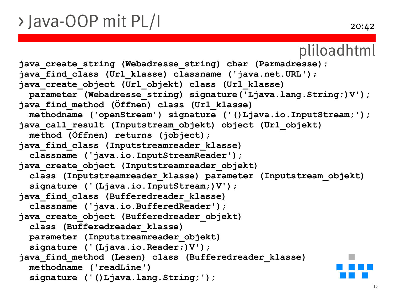### > Java-OOP mit PL/I

### pliloadhtml

**java\_create\_string (Webadresse\_string) char (Parmadresse); java\_find\_class (Url\_klasse) classname ('java.net.URL'); java\_create\_object (Url\_objekt) class (Url\_klasse) parameter (Webadresse\_string) signature('Ljava.lang.String;)V'); java\_find\_method (Öffnen) class (Url\_klasse) methodname ('openStream') signature ('()Ljava.io.InputStream;'); java\_call\_result (Inputstream\_objekt) object (Url\_objekt) method (Öffnen) returns (jobject); java\_find\_class (Inputstreamreader\_klasse) classname ('java.io.InputStreamReader'); java\_create\_object (Inputstreamreader\_objekt) class (Inputstreamreader\_klasse) parameter (Inputstream\_objekt) signature ('(Ljava.io.InputStream;)V'); java\_find\_class (Bufferedreader\_klasse) classname ('java.io.BufferedReader'); java\_create\_object (Bufferedreader\_objekt) class (Bufferedreader\_klasse) parameter (Inputstreamreader\_objekt) signature ('(Ljava.io.Reader;)V'); java\_find\_method (Lesen) class (Bufferedreader\_klasse) methodname ('readLine') signature ('()Ljava.lang.String;');**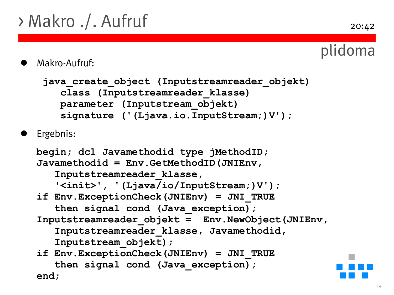## > Makro ./. Aufruf

### plidoma

### Makro-Aufruf:

```
java_create_object (Inputstreamreader_objekt)
  class (Inputstreamreader_klasse)
  parameter (Inputstream_objekt)
   signature ('(Ljava.io.InputStream;)V');
```
Ergebnis:

```
begin; dcl Javamethodid type jMethodID;
Javamethodid = Env.GetMethodID(JNIEnv,
   Inputstreamreader_klasse,
   '<init>', '(Ljava/io/InputStream;)V');
if Env.ExceptionCheck(JNIEnv) = JNI_TRUE
   then signal cond (Java_exception);
Inputstreamreader_objekt = Env.NewObject(JNIEnv,
   Inputstreamreader_klasse, Javamethodid,
   Inputstream_objekt);
if Env.ExceptionCheck(JNIEnv) = JNI_TRUE
   then signal cond (Java_exception);
end;
```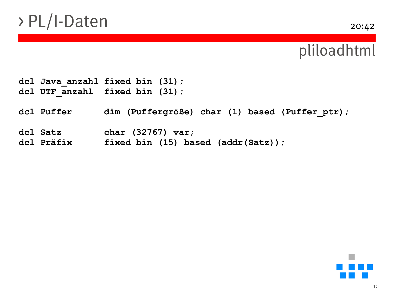### > PL/I-Daten

### pliloadhtml

- **dcl Java\_anzahl fixed bin (31); dcl UTF\_anzahl fixed bin (31);**
- **dcl Puffer dim (Puffergröße) char (1) based (Puffer\_ptr);**
- **dcl Satz char (32767) var;**
- **dcl Präfix fixed bin (15) based (addr(Satz));**

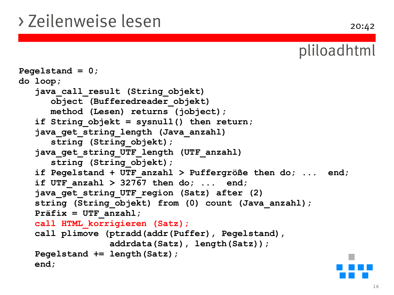### > Zeilenweise lesen

```
Pegelstand = 0;
do loop;
   java_call_result (String_objekt)
      object (Bufferedreader_objekt)
      method (Lesen) returns (jobject);
   if String_objekt = sysnull() then return;
   java_get_string_length (Java_anzahl)
      string (String_objekt);
   java_get_string_UTF_length (UTF_anzahl)
      string (String_objekt);
   if Pegelstand + UTF_anzahl > Puffergröße then do; ... end;
   if UTF_anzahl > 32767 then do; ... end;
   java_get_string_UTF_region (Satz) after (2) 
   string (String_objekt) from (0) count (Java_anzahl);
   Präfix = UTF_anzahl;
   call HTML_korrigieren (Satz);
   call plimove (ptradd(addr(Puffer), Pegelstand), 
                 addrdata(Satz), length(Satz));
   Pegelstand += length(Satz);
   end;
```
pliloadhtml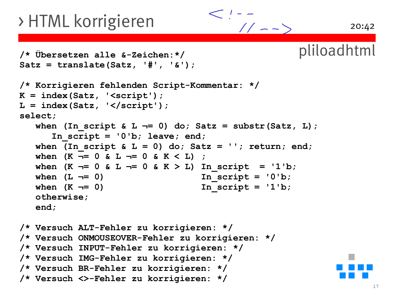### > HTML korrigieren

**/\* Übersetzen alle &-Zeichen:\*/**

**Satz = translate(Satz, '#', '&');**

#### 20:42

pliloadhtml

```
/* Korrigieren fehlenden Script-Kommentar: */
K = index(Satz, '<script');
L = index(Satz, '</script');
select;
   when (In script & L \rightarrow= 0) do; Satz = substr(Satz, L);
      In script = '0'b; leave; end;
   when (In script \& L = 0) do; Satz = ''; return; end;
   when (K \neg = 0 \& L \neg = 0 \& K \le L) ;
   when (K \neg = 0 \& L \neg = 0 \& K > L) In script = '1'b;
   when (L \rightarrow = 0) In script = '0'b;
   when (K \neg = 0) In script = '1'b;
   otherwise;
   end;
/* Versuch ALT-Fehler zu korrigieren: */
/* Versuch ONMOUSEOVER-Fehler zu korrigieren: */
/* Versuch INPUT-Fehler zu korrigieren: */
/* Versuch IMG-Fehler zu korrigieren: */
/* Versuch BR-Fehler zu korrigieren: */
/* Versuch <>-Fehler zu korrigieren: */
```
 $\langle$   $\rangle$   $\sim$   $-$ 

 $1/(->)$ 

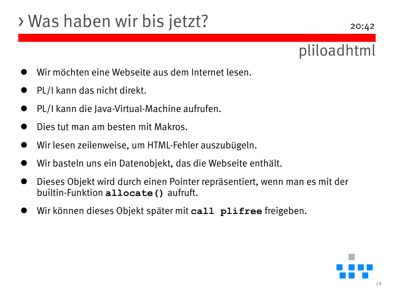## > Was haben wir bis jetzt?

### pliloadhtml

- Wir möchten eine Webseite aus dem Internet lesen.
- PL/I kann das nicht direkt.
- PL/I kann die Java-Virtual-Machine aufrufen.
- Dies tut man am besten mit Makros.
- Wir lesen zeilenweise, um HTML-Fehler auszubügeln.
- Wir basteln uns ein Datenobjekt, das die Webseite enthält.
- Dieses Objekt wird durch einen Pointer repräsentiert, wenn man es mit der builtin-Funktion **allocate()** aufruft.
- Wir können dieses Objekt später mit **call plifree** freigeben.

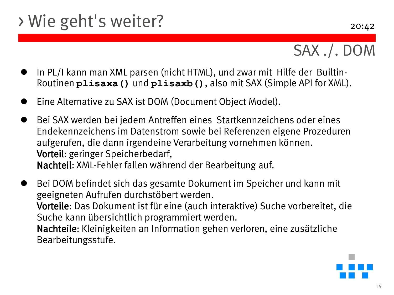## > Wie geht's weiter?

### SAX ./. DOM

- In PL/I kann man XML parsen (nicht HTML), und zwar mit Hilfe der Builtin-Routinen **plisaxa()** und **plisaxb()**, also mit SAX (Simple API for XML).
- Eine Alternative zu SAX ist DOM (Document Object Model).
- Bei SAX werden bei jedem Antreffen eines Startkennzeichens oder eines Endekennzeichens im Datenstrom sowie bei Referenzen eigene Prozeduren aufgerufen, die dann irgendeine Verarbeitung vornehmen können. Vorteil: geringer Speicherbedarf, Nachteil: XML-Fehler fallen während der Bearbeitung auf.
- Bei DOM befindet sich das gesamte Dokument im Speicher und kann mit geeigneten Aufrufen durchstöbert werden. Vorteile: Das Dokument ist für eine (auch interaktive) Suche vorbereitet, die Suche kann übersichtlich programmiert werden. Nachteile: Kleinigkeiten an Information gehen verloren, eine zusätzliche Bearbeitungsstufe.

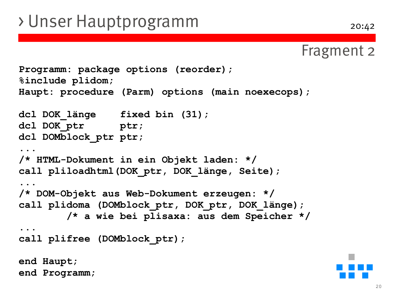**end Programm;**

```
Programm: package options (reorder);
%include plidom;
Haupt: procedure (Parm) options (main noexecops);
dcl DOK_länge fixed bin (31);
dcl DOK_ptr ptr;
dcl DOMblock_ptr ptr; 
...
/* HTML-Dokument in ein Objekt laden: */ 
call pliloadhtml(DOK_ptr, DOK_länge, Seite);
...
/* DOM-Objekt aus Web-Dokument erzeugen: */
call plidoma (DOMblock_ptr, DOK_ptr, DOK_länge);
        /* a wie bei plisaxa: aus dem Speicher */ 
...
call plifree (DOMblock_ptr);
end Haupt;
```


Fragment 2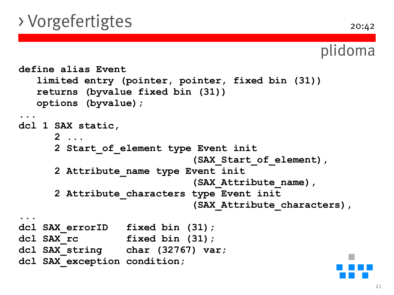### > Vorgefertigtes

### plidoma

```
define alias Event
   limited entry (pointer, pointer, fixed bin (31))
   returns (byvalue fixed bin (31))
   options (byvalue);
...
dcl 1 SAX static,
     2 ...
      2 Start_of_element type Event init
                             (SAX_Start_of_element),
      2 Attribute_name type Event init
                             (SAX_Attribute_name),
      2 Attribute_characters type Event init
                             (SAX_Attribute_characters),
... 
dcl SAX_errorID fixed bin (31);
dcl SAX_rc fixed bin (31);
dcl SAX_string char (32767) var;
dcl SAX_exception condition;
```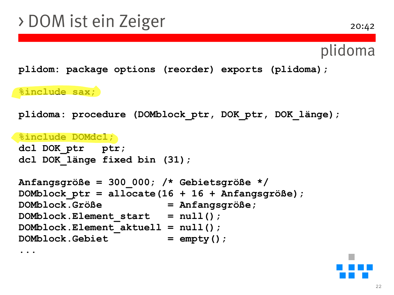### plidoma

**plidom: package options (reorder) exports (plidoma);**

#### **%include sax;**

**...**

**plidoma: procedure (DOMblock\_ptr, DOK\_ptr, DOK\_länge);**

#### **%include DOMdcl;**

```
dcl DOK_ptr ptr;
dcl DOK_länge fixed bin (31);
```

```
Anfangsgröße = 300_000; /* Gebietsgröße */
DOMblock_ptr = allocate(16 + 16 + Anfangsgröße);
DOMblock.Größe = Anfangsgröße;
DOMblock.Element_start = null();
DOMblock.Element_aktuell = null();
DOMblock.Gebiet = empty();
```
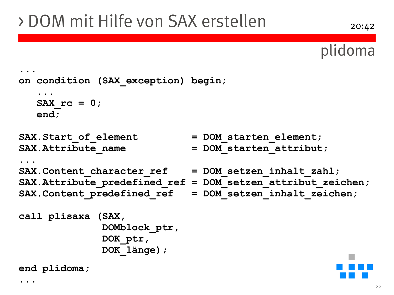### > DOM mit Hilfe von SAX erstellen

```
plidoma
```

```
...
on condition (SAX_exception) begin;
   ...
   SAX_rc = 0;
   end;
SAX.Start of element = DOM starten element;
SAX. Attribute name = DOM starten attribut;
...
SAX.Content character ref = DOM setzen inhalt zahl;
SAX.Attribute_predefined_ref = DOM_setzen_attribut_zeichen;
SAX.Content_predefined_ref = DOM_setzen_inhalt_zeichen;
call plisaxa (SAX,
             DOMblock_ptr,
             DOK_ptr,
             DOK_länge);
end plidoma;
...
```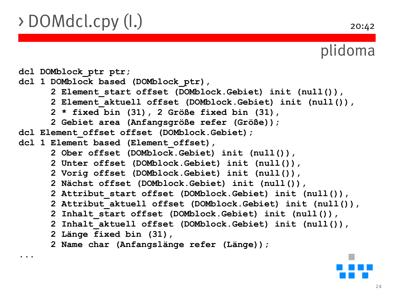> DOMdcl.cpy (I.)

**...**

plidoma **dcl DOMblock\_ptr ptr; dcl 1 DOMblock based (DOMblock\_ptr), 2 Element\_start offset (DOMblock.Gebiet) init (null()), 2 Element\_aktuell offset (DOMblock.Gebiet) init (null()), 2 \* fixed bin (31), 2 Größe fixed bin (31), 2 Gebiet area (Anfangsgröße refer (Größe)); dcl Element\_offset offset (DOMblock.Gebiet); dcl 1 Element based (Element\_offset), 2 Ober offset (DOMblock.Gebiet) init (null()), 2 Unter offset (DOMblock.Gebiet) init (null()), 2 Vorig offset (DOMblock.Gebiet) init (null()), 2 Nächst offset (DOMblock.Gebiet) init (null()), 2 Attribut\_start offset (DOMblock.Gebiet) init (null()), 2 Attribut\_aktuell offset (DOMblock.Gebiet) init (null()), 2 Inhalt\_start offset (DOMblock.Gebiet) init (null()), 2 Inhalt\_aktuell offset (DOMblock.Gebiet) init (null()), 2 Länge fixed bin (31), 2 Name char (Anfangslänge refer (Länge));**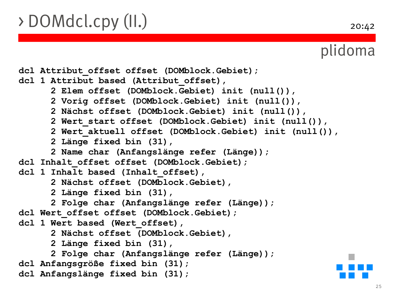# > DOMdcl.cpy (II.)

### plidoma

**dcl Attribut\_offset offset (DOMblock.Gebiet); dcl 1 Attribut based (Attribut\_offset), 2 Elem offset (DOMblock.Gebiet) init (null()), 2 Vorig offset (DOMblock.Gebiet) init (null()), 2 Nächst offset (DOMblock.Gebiet) init (null()), 2 Wert\_start offset (DOMblock.Gebiet) init (null()), 2 Wert\_aktuell offset (DOMblock.Gebiet) init (null()), 2 Länge fixed bin (31), 2 Name char (Anfangslänge refer (Länge)); dcl Inhalt\_offset offset (DOMblock.Gebiet); dcl 1 Inhalt based (Inhalt\_offset), 2 Nächst offset (DOMblock.Gebiet), 2 Länge fixed bin (31), 2 Folge char (Anfangslänge refer (Länge)); dcl Wert\_offset offset (DOMblock.Gebiet); dcl 1 Wert based (Wert\_offset), 2 Nächst offset (DOMblock.Gebiet), 2 Länge fixed bin (31), 2 Folge char (Anfangslänge refer (Länge)); dcl Anfangsgröße fixed bin (31); dcl Anfangslänge fixed bin (31);**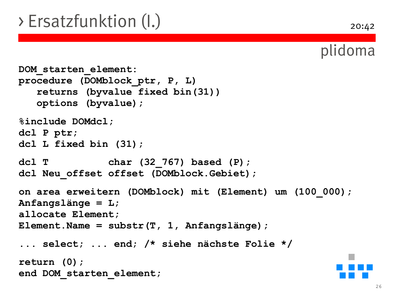## > Ersatzfunktion (I.)

plidoma

```
DOM_starten_element: 
procedure (DOMblock_ptr, P, L) 
   returns (byvalue fixed bin(31)) 
   options (byvalue);
%include DOMdcl; 
dcl P ptr; 
dcl L fixed bin (31);
dcl T char (32_767) based (P); 
dcl Neu_offset offset (DOMblock.Gebiet);
on area erweitern (DOMblock) mit (Element) um (100_000); 
Anfangslänge = L; 
allocate Element; 
Element.Name = substr(T, 1, Anfangslänge);
... select; ... end; /* siehe nächste Folie */
return (0); 
end DOM_starten_element;
```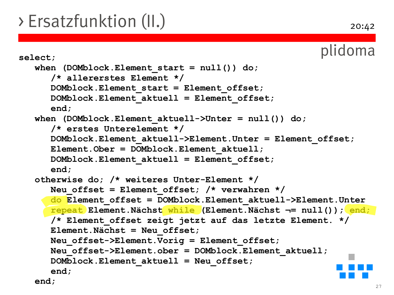# > Ersatzfunktion (II.)

```
plidoma
select; 
  when (DOMblock.Element_start = null()) do; 
      /* allererstes Element */ 
      DOMblock.Element_start = Element_offset; 
      DOMblock.Element_aktuell = Element_offset; 
      end; 
  when (DOMblock.Element_aktuell->Unter = null()) do; 
      /* erstes Unterelement */ 
      DOMblock.Element_aktuell->Element.Unter = Element_offset;
      Element.Ober = DOMblock.Element_aktuell; 
      DOMblock.Element_aktuell = Element_offset; 
      end; 
   otherwise do; /* weiteres Unter-Element */ 
      Neu offset = Element offset; /* verwahren */do Element_offset = DOMblock.Element_aktuell->Element.Unter
      repeat Element.Nächst while (Element.Nächst ¬= null()); end; 
      /* Element_offset zeigt jetzt auf das letzte Element. */
      Element.Nächst = Neu_offset; 
     Neu_offset->Element.Vorig = Element_offset; 
      Neu_offset->Element.ober = DOMblock.Element_aktuell;
      DOMblock.Element_aktuell = Neu_offset; 
      end; 
   end;
```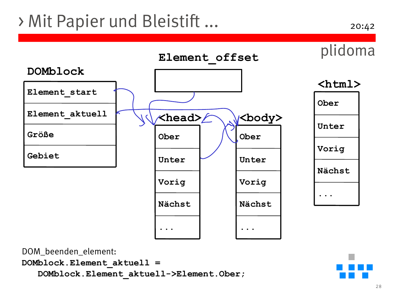### > Mit Papier und Bleistift ...

20:42



DOM\_beenden\_element: **DOMblock.Element\_aktuell = DOMblock.Element\_aktuell->Element.Ober;**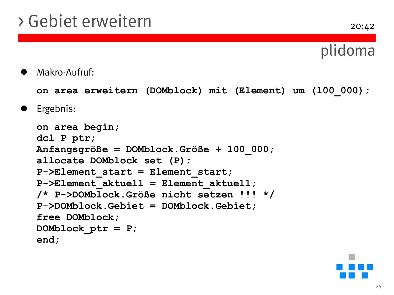### > Gebiet erweitern

### plidoma

Makro-Aufruf:

```
on area erweitern (DOMblock) mit (Element) um (100_000);
```
Ergebnis:

```
on area begin; 
dcl P ptr; 
Anfangsgröße = DOMblock.Größe + 100_000; 
allocate DOMblock set (P); 
P->Element_start = Element_start; 
P->Element_aktuell = Element_aktuell; 
/* P->DOMblock.Größe nicht setzen !!! */ 
P->DOMblock.Gebiet = DOMblock.Gebiet; 
free DOMblock; 
DOMblock_ptr = P; 
end;
```
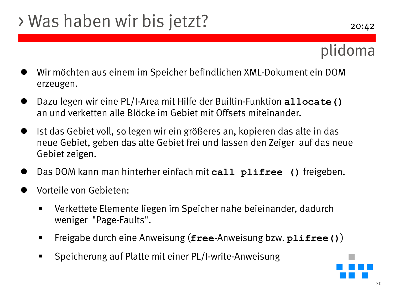## > Was haben wir bis jetzt?

- Wir möchten aus einem im Speicher befindlichen XML-Dokument ein DOM erzeugen.
- Dazu legen wir eine PL/I-Area mit Hilfe der Builtin-Funktion **allocate()** an und verketten alle Blöcke im Gebiet mit Offsets miteinander.
- Ist das Gebiet voll, so legen wir ein größeres an, kopieren das alte in das neue Gebiet, geben das alte Gebiet frei und lassen den Zeiger auf das neue Gebiet zeigen.
- Das DOM kann man hinterher einfach mit **call plifree ()** freigeben.
- Vorteile von Gebieten:
	- Verkettete Elemente liegen im Speicher nahe beieinander, dadurch weniger "Page-Faults".
	- Freigabe durch eine Anweisung (**free**-Anweisung bzw. **plifree()**)
	- Speicherung auf Platte mit einer PL/I-write-Anweisung

plidoma

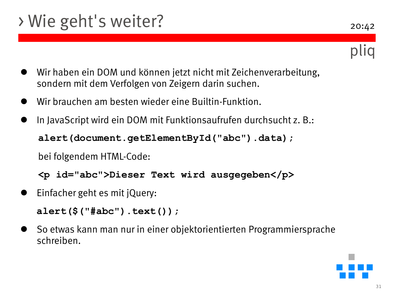# > Wie geht's weiter?

- Wir haben ein DOM und können jetzt nicht mit Zeichenverarbeitung, sondern mit dem Verfolgen von Zeigern darin suchen.
- Wir brauchen am besten wieder eine Builtin-Funktion.
- In JavaScript wird ein DOM mit Funktionsaufrufen durchsucht z. B.:

**alert(document.getElementById("abc").data);**

bei folgendem HTML-Code:

**<p id="abc">Dieser Text wird ausgegeben</p>**

Einfacher geht es mit jQuery:

```
alert($("#abc").text());
```
 So etwas kann man nur in einer objektorientierten Programmiersprache schreiben.



pliq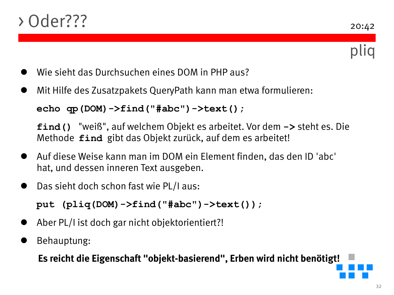### > Oder???

- Wie sieht das Durchsuchen eines DOM in PHP aus?
- Mit Hilfe des Zusatzpakets QueryPath kann man etwa formulieren:

```
echo qp(DOM)->find("#abc")->text();
```
**find()** "weiß", auf welchem Objekt es arbeitet. Vor dem **->** steht es. Die Methode **find** gibt das Objekt zurück, auf dem es arbeitet!

- Auf diese Weise kann man im DOM ein Element finden, das den ID 'abc' hat, und dessen inneren Text ausgeben.
- Das sieht doch schon fast wie PL/I aus:

```
put (pliq(DOM)->find("#abc")->text());
```
- Aber PL/I ist doch gar nicht objektorientiert?!
- Behauptung:

**Es reicht die Eigenschaft "objekt-basierend", Erben wird nicht benötigt!**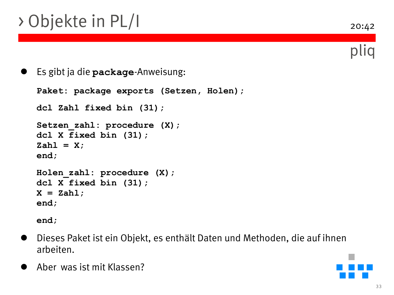# > Objekte in PL/I

pliq

Es gibt ja die **package**-Anweisung:

```
Paket: package exports (Setzen, Holen);
dcl Zahl fixed bin (31);
Setzen zahl: procedure (X);
dcl X fixed bin (31);
Zahl = X;
end;
Holen_zahl: procedure (X);
dcl X fixed bin (31);
X = Zahl;
end;
```
**end;**

- Dieses Paket ist ein Objekt, es enthält Daten und Methoden, die auf ihnen arbeiten.
- Aber was ist mit Klassen?

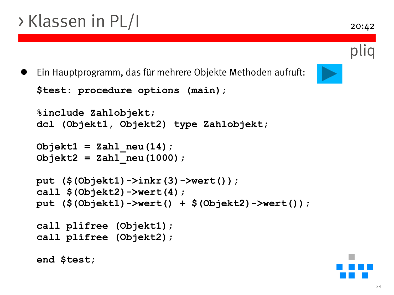```
 Ein Hauptprogramm, das für mehrere Objekte Methoden aufruft:
$test: procedure options (main);
%include Zahlobjekt;
dcl (Objekt1, Objekt2) type Zahlobjekt;
Object1 = Zahl neu(14);
Objekt2 = Zahl_neu(1000);
put ($(Objekt1)->inkr(3)->wert());
call $(Objekt2)->wert(4);
put ($(Objekt1)->wert() + $(Objekt2)->wert()); 
call plifree (Objekt1);
call plifree (Objekt2);
end $test;
```
pliq

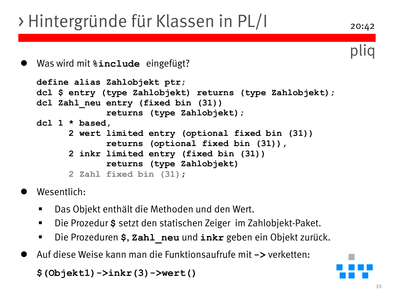## > Hintergründe für Klassen in PL/I

```
 Was wird mit %include eingefügt?
define alias Zahlobjekt ptr;
dcl $ entry (type Zahlobjekt) returns (type Zahlobjekt);
dcl Zahl_neu entry (fixed bin (31)) 
             returns (type Zahlobjekt);
dcl 1 * based,
      2 wert limited entry (optional fixed bin (31))
             returns (optional fixed bin (31)),
      2 inkr limited entry (fixed bin (31))
             returns (type Zahlobjekt)
      2 Zahl fixed bin (31);
```
Wesentlich:

- Das Objekt enthält die Methoden und den Wert.
- Die Prozedur **\$** setzt den statischen Zeiger im Zahlobjekt-Paket.
- Die Prozeduren **\$**, **Zahl\_neu** und **inkr** geben ein Objekt zurück.
- Auf diese Weise kann man die Funktionsaufrufe mit **->** verketten:

**\$(Objekt1)->inkr(3)->wert()**

pliq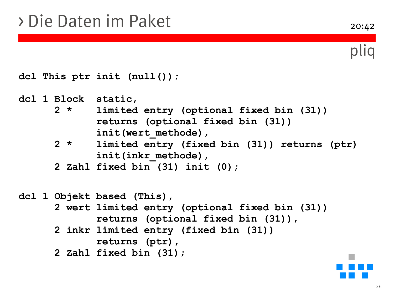#### **dcl 1 Block static,**

- **2 \* limited entry (optional fixed bin (31)) returns (optional fixed bin (31)) init(wert\_methode),**
- **2 \* limited entry (fixed bin (31)) returns (ptr) init(inkr\_methode),**

```
2 Zahl fixed bin (31) init (0);
```

```
dcl 1 Objekt based (This),
```
- **2 wert limited entry (optional fixed bin (31)) returns (optional fixed bin (31)),**
- **2 inkr limited entry (fixed bin (31)) returns (ptr),**
- **2 Zahl fixed bin (31);**

pliq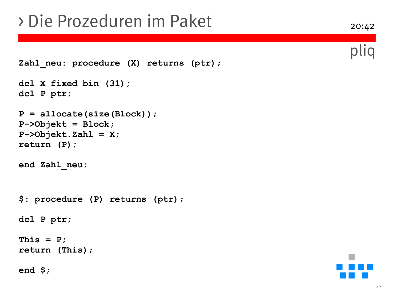### > Die Prozeduren im Paket

```
Zahl_neu: procedure (X) returns (ptr);
dcl X fixed bin (31);
dcl P ptr;
P = allocate(size(Block));
P->Objekt = Block;
P->Objekt.Zahl = X;
return (P);
end Zahl_neu;
$: procedure (P) returns (ptr);
dcl P ptr;
This = P;
return (This);
end $;
```
pliq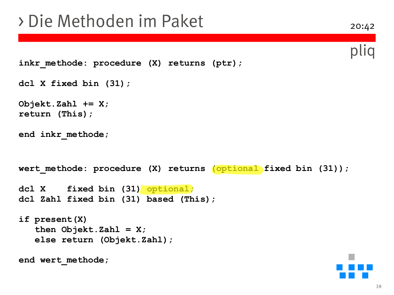### > Die Methoden im Paket

```
pliq
inkr methode: procedure (X) returns (ptr);
dcl X fixed bin (31);
Objekt.Zahl += X;
return (This);
end inkr_methode;
wert methode: procedure (X) returns (optional fixed bin (31));
dcl X fixed bin (31) optional;
dcl Zahl fixed bin (31) based (This);
if present(X)
   then Objekt.Zahl = X;
   else return (Objekt.Zahl);
end wert methode;
```
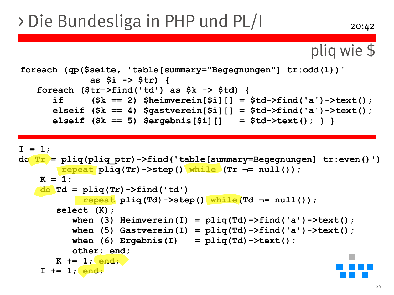### > Die Bundesliga in PHP und PL/I

20:42

### pliq wie \$

```
foreach (qp($seite, 'table[summary="Begegnungen"] tr:odd(1))'
             as $i -> $tr) {
   foreach ($tr->find('td') as $k -> $td) {
      if ($k == 2) $heimverein[$i][] = $td->find('a')->text();
      elseif ($k == 4) $gastverein[$i][] = $td->find('a')->text();
      elseif ($k == 5) $ergebnis[$i][] = $td->text(); } }
```

```
I = 1do Tr = pliq(pliq_ptr)->find('table[summary=Begegnungen] tr:even()')
        repeat pliq(Tr)->step() while (Tr ¬= null());
    K = 1;
    do Td = pliq(Tr)->find('td')
             repeat pliq(Td)->step() while(Td ¬= null());
       select (K);
          when (3) Heimverein(I) =pliq(Td)->find('a')->text();
          when (5) Gastverein(I) = pliq(Td) - \frac{\pi}{d} \left( 'a' \right) - \frac{\pi}{d}when (6) Ergebnis(I) = pliq(Td)->text();
          other; end;
       K += 1; end;
    I += 1; end;
```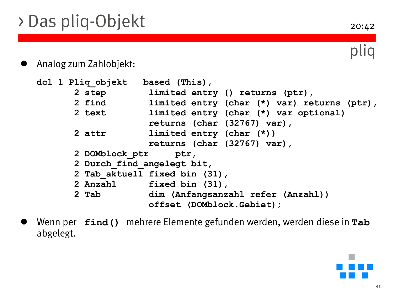## > Das pliq-Objekt

pliq

Analog zum Zahlobjekt:

| dcl 1 Pliq objekt | based (This),                               |
|-------------------|---------------------------------------------|
| 2 step            | limited entry () returns (ptr),             |
| 2 find            | limited entry (char (*) var) returns (ptr), |
| 2 text            | limited entry (char (*) var optional)       |
|                   | returns (char (32767) var),                 |
| 2 attr            | limited entry (char (*))                    |
|                   | returns (char (32767) var),                 |
|                   | 2 DOMblock ptr ptr,                         |
|                   | 2 Durch find angelegt bit,                  |
|                   | 2 Tab aktuell fixed bin (31),               |
|                   | 2 Anzahl fixed bin (31),                    |
| 2 Tab             | dim (Anfangsanzahl refer (Anzahl))          |
|                   | offset (DOMblock.Gebiet);                   |

 Wenn per **find()** mehrere Elemente gefunden werden, werden diese in **Tab** abgelegt.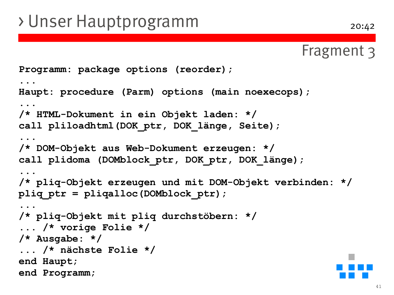### > Unser Hauptprogramm

```
Programm: package options (reorder);
...
Haupt: procedure (Parm) options (main noexecops);
...
/* HTML-Dokument in ein Objekt laden: */ 
call pliloadhtml(DOK_ptr, DOK_länge, Seite);
...
/* DOM-Objekt aus Web-Dokument erzeugen: */
call plidoma (DOMblock_ptr, DOK_ptr, DOK_länge); 
...
/* pliq-Objekt erzeugen und mit DOM-Objekt verbinden: */ 
pliq_ptr = pliqalloc(DOMblock_ptr); 
...
/* pliq-Objekt mit pliq durchstöbern: */
... /* vorige Folie */
/* Ausgabe: */
... /* nächste Folie */
end Haupt;
end Programm;
```
Fragment 3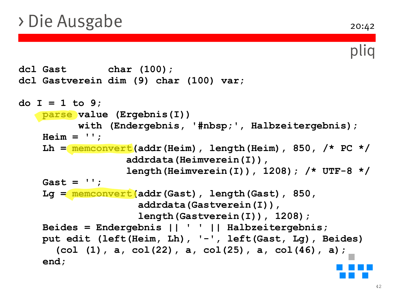### > Die Ausgabe

```
pliq
```

```
dcl Gast char (100);
dcl Gastverein dim (9) char (100) var;
do I = 1 to 9;
   parse value (Ergebnis(I))
         with (Endergebnis, '#nbsp;', Halbzeitergebnis);
    Heim = '';
    Lh = memconvert(addr(Heim), length(Heim), 850, /* PC */
                  addrdata(Heimverein(I)),
                  length(Heimverein(I)), 1208); /* UTF-8 */
    Gast = '';
    Lg = memconvert(addr(Gast), length(Gast), 850,
                    addrdata(Gastverein(I)), 
                    length(Gastverein(I)), 1208);
    Beides = Endergebnis || ' ' || Halbzeitergebnis;
    put edit (left(Heim, Lh), '-', left(Gast, Lg), Beides)
      (col (1), a, col(22), a, col(25), a, col(46), a);
    end;
```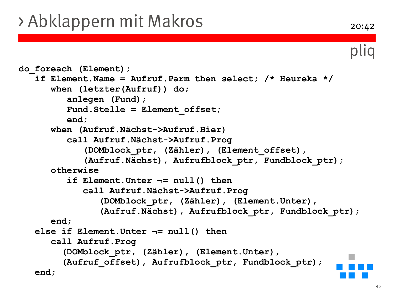## > Abklappern mit Makros

```
do_foreach (Element); 
   if Element.Name = Aufruf.Parm then select; /* Heureka */
      when (letzter(Aufruf)) do; 
         anlegen (Fund); 
         Fund.Stelle = Element_offset; 
         end; 
      when (Aufruf.Nächst->Aufruf.Hier) 
         call Aufruf.Nächst->Aufruf.Prog 
             (DOMblock_ptr, (Zähler), (Element_offset), 
             (Aufruf.Nächst), Aufrufblock_ptr, Fundblock_ptr); 
      otherwise 
         if Element.Unter ¬= null() then 
            call Aufruf.Nächst->Aufruf.Prog 
                (DOMblock_ptr, (Zähler), (Element.Unter), 
                (Aufruf.Nächst), Aufrufblock_ptr, Fundblock_ptr); 
      end; 
   else if Element.Unter ¬= null() then 
      call Aufruf.Prog 
        (DOMblock_ptr, (Zähler), (Element.Unter),
        (Aufruf offset), Aufrufblock ptr, Fundblock ptr);
   end;
```
pliq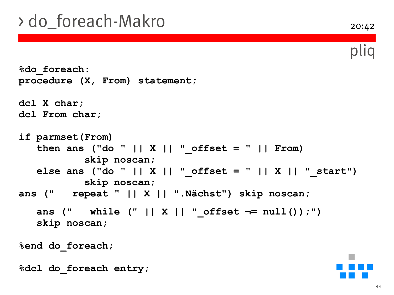### > do\_foreach-Makro

```
%do_foreach:
procedure (X, From) statement;
dcl X char;
dcl From char;
if parmset(From)
   then ans ("do " || X || " offset = " || From)
           skip noscan;
   else ans ("do " || X || "_offset = " || X || "_start")
           skip noscan;
ans (" repeat " || X || ".Nächst") skip noscan;
   ans (" while (" || X ||" offset \neg = null();")
   skip noscan;
%end do_foreach;
```

```
%dcl do_foreach entry;
```
pliq

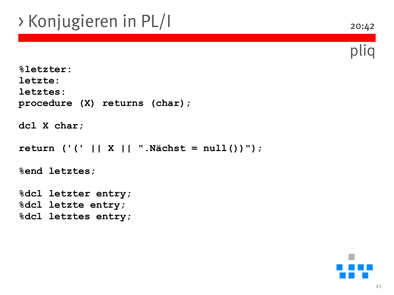## > Konjugieren in PL/I

pliq

```
%letzter:
letzte:
letztes: 
procedure (X) returns (char);
dcl X char;
return ('(' || X || ".Nächst = null())");
%end letztes;
%dcl letzter entry;
%dcl letzte entry;
%dcl letztes entry;
```
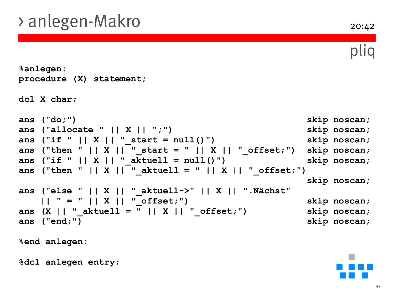### > anlegen-Makro

pliq

20:42

```
%anlegen:
procedure (X) statement;
dcl X char;
ans ("do;") skip noscan;
ans ("allocate " || X || ";") skip noscan;
ans ("if " || X || " start = null()") skip noscan;
ans ("then " || X || " start = " || X || " offset;") skip noscan;
ans ("if " || X || "_aktuell = null()") skip noscan;
ans ("then " || X || " aktuell = " || X || " offset;")
                                          skip noscan;
ans ("else " || X || "_aktuell->" || X || ".Nächst"
   || " = " || X || "_offset;") skip noscan;
ans (X || " aktuell = " || X || " offset;") skip noscan;
ans ("end;") skip noscan;
%end anlegen;
```
**%dcl anlegen entry;**